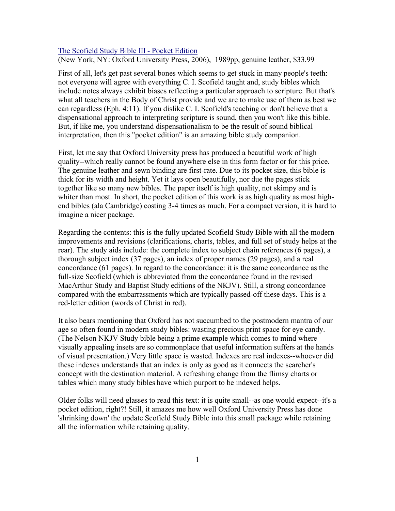## [The Scofield Study Bible III - Pocket Edition](http://www.bestbookdeal.com/book/compare/0195275683)

(New York, NY: Oxford University Press, 2006), 1989pp, genuine leather, \$33.99

First of all, let's get past several bones which seems to get stuck in many people's teeth: not everyone will agree with everything C. I. Scofield taught and, study bibles which include notes always exhibit biases reflecting a particular approach to scripture. But that's what all teachers in the Body of Christ provide and we are to make use of them as best we can regardless (Eph. 4:11). If you dislike C. I. Scofield's teaching or don't believe that a dispensational approach to interpreting scripture is sound, then you won't like this bible. But, if like me, you understand dispensationalism to be the result of sound biblical interpretation, then this "pocket edition" is an amazing bible study companion.

First, let me say that Oxford University press has produced a beautiful work of high quality--which really cannot be found anywhere else in this form factor or for this price. The genuine leather and sewn binding are first-rate. Due to its pocket size, this bible is thick for its width and height. Yet it lays open beautifully, nor due the pages stick together like so many new bibles. The paper itself is high quality, not skimpy and is whiter than most. In short, the pocket edition of this work is as high quality as most highend bibles (ala Cambridge) costing 3-4 times as much. For a compact version, it is hard to imagine a nicer package.

Regarding the contents: this is the fully updated Scofield Study Bible with all the modern improvements and revisions (clarifications, charts, tables, and full set of study helps at the rear). The study aids include: the complete index to subject chain references (6 pages), a thorough subject index (37 pages), an index of proper names (29 pages), and a real concordance (61 pages). In regard to the concordance: it is the same concordance as the full-size Scofield (which is abbreviated from the concordance found in the revised MacArthur Study and Baptist Study editions of the NKJV). Still, a strong concordance compared with the embarrassments which are typically passed-off these days. This is a red-letter edition (words of Christ in red).

It also bears mentioning that Oxford has not succumbed to the postmodern mantra of our age so often found in modern study bibles: wasting precious print space for eye candy. (The Nelson NKJV Study bible being a prime example which comes to mind where visually appealing insets are so commonplace that useful information suffers at the hands of visual presentation.) Very little space is wasted. Indexes are real indexes--whoever did these indexes understands that an index is only as good as it connects the searcher's concept with the destination material. A refreshing change from the flimsy charts or tables which many study bibles have which purport to be indexed helps.

Older folks will need glasses to read this text: it is quite small--as one would expect--it's a pocket edition, right?! Still, it amazes me how well Oxford University Press has done 'shrinking down' the update Scofield Study Bible into this small package while retaining all the information while retaining quality.